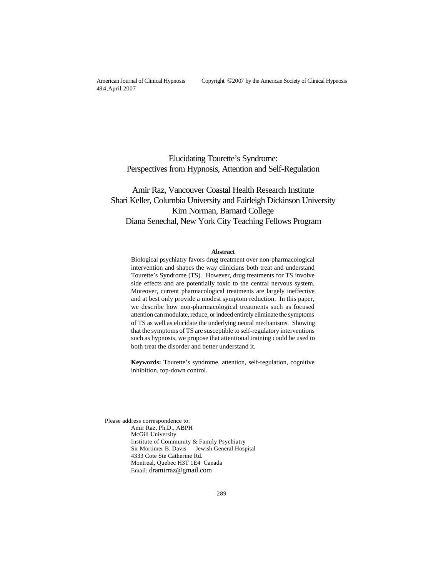49:4, April 2007

# Elucidating Tourette's Syndrome: Perspectives from Hypnosis, Attention and Self-Regulation

Amir Raz, Vancouver Coastal Health Research Institute Shari Keller, Columbia University and Fairleigh Dickinson University Kim Norman, Barnard College Diana Senechal, New York City Teaching Fellows Program

## **Abstract**

Biological psychiatry favors drug treatment over non-pharmacological intervention and shapes the way clinicians both treat and understand Tourette's Syndrome (TS). However, drug treatments for TS involve side effects and are potentially toxic to the central nervous system. Moreover, current pharmacological treatments are largely ineffective and at best only provide a modest symptom reduction. In this paper, we describe how non-pharmacological treatments such as focused attention can modulate, reduce, or indeed entirely eliminate the symptoms of TS as well as elucidate the underlying neural mechanisms. Showing that the symptoms of TS are susceptible to self-regulatory interventions such as hypnosis, we propose that attentional training could be used to both treat the disorder and better understand it.

**Keywords:** Tourette's syndrome, attention, self-regulation, cognitive inhibition, top-down control.

Please address correspondence to: Amir Raz, Ph.D., ABPH McGill University Institute of Community & Family Psychiatry Sir Mortimer B. Davis — Jewish General Hospital 4333 Cote Ste Catherine Rd. Montreal, Quebec H3T 1E4 Canada Email: dramirraz@gmail.com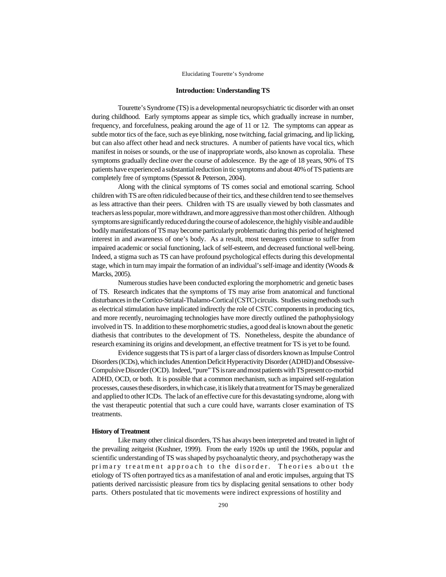## **Introduction: Understanding TS**

Tourette's Syndrome (TS) is a developmental neuropsychiatric tic disorder with an onset during childhood. Early symptoms appear as simple tics, which gradually increase in number, frequency, and forcefulness, peaking around the age of 11 or 12. The symptoms can appear as subtle motor tics of the face, such as eye blinking, nose twitching, facial grimacing, and lip licking, but can also affect other head and neck structures. A number of patients have vocal tics, which manifest in noises or sounds, or the use of inappropriate words, also known as coprolalia. These symptoms gradually decline over the course of adolescence. By the age of 18 years, 90% of TS patients have experienced a substantial reduction in tic symptoms and about 40% of TS patients are completely free of symptoms (Spessot & Peterson, 2004).

Along with the clinical symptoms of TS comes social and emotional scarring. School children with TS are often ridiculed because of their tics, and these children tend to see themselves as less attractive than their peers. Children with TS are usually viewed by both classmates and teachers as less popular, more withdrawn, and more aggressive than most other children. Although symptoms are significantly reduced during the course of adolescence, the highly visible and audible bodily manifestations of TS may become particularly problematic during this period of heightened interest in and awareness of one's body. As a result, most teenagers continue to suffer from impaired academic or social functioning, lack of self-esteem, and decreased functional well-being. Indeed, a stigma such as TS can have profound psychological effects during this developmental stage, which in turn may impair the formation of an individual's self-image and identity (Woods & Marcks, 2005).

Numerous studies have been conducted exploring the morphometric and genetic bases of TS. Research indicates that the symptoms of TS may arise from anatomical and functional disturbances in the Cortico-Striatal-Thalamo-Cortical (CSTC) circuits. Studies using methods such as electrical stimulation have implicated indirectly the role of CSTC components in producing tics, and more recently, neuroimaging technologies have more directly outlined the pathophysiology involved in TS. In addition to these morphometric studies, a good deal is known about the genetic diathesis that contributes to the development of TS. Nonetheless, despite the abundance of research examining its origins and development, an effective treatment for TS is yet to be found.

Evidence suggests that TS is part of a larger class of disorders known as Impulse Control Disorders (ICDs), which includes Attention Deficit Hyperactivity Disorder (ADHD) and Obsessive-Compulsive Disorder (OCD). Indeed, "pure" TS is rare and most patients with TS present co-morbid ADHD, OCD, or both. It is possible that a common mechanism, such as impaired self-regulation processes, causes these disorders, in which case, it is likely that a treatment for TS may be generalized and applied to other ICDs. The lack of an effective cure for this devastating syndrome, along with the vast therapeutic potential that such a cure could have, warrants closer examination of TS treatments.

## **History of Treatment**

Like many other clinical disorders, TS has always been interpreted and treated in light of the prevailing zeitgeist (Kushner, 1999). From the early 1920s up until the 1960s, popular and scientific understanding of TS was shaped by psychoanalytic theory, and psychotherapy was the primary treatment approach to the disorder. Theories about the etiology of TS often portrayed tics as a manifestation of anal and erotic impulses, arguing that TS patients derived narcissistic pleasure from tics by displacing genital sensations to other body parts. Others postulated that tic movements were indirect expressions of hostility and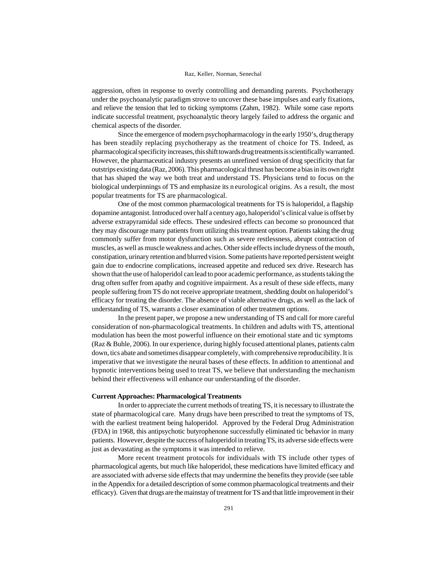aggression, often in response to overly controlling and demanding parents. Psychotherapy under the psychoanalytic paradigm strove to uncover these base impulses and early fixations, and relieve the tension that led to ticking symptoms (Zahm, 1982). While some case reports indicate successful treatment, psychoanalytic theory largely failed to address the organic and chemical aspects of the disorder.

Since the emergence of modern psychopharmacology in the early 1950's, drug therapy has been steadily replacing psychotherapy as the treatment of choice for TS. Indeed, as pharmacological specificity increases, this shift towards drug treatments is scientifically warranted. However, the pharmaceutical industry presents an unrefined version of drug specificity that far outstrips existing data (Raz, 2006). This pharmacological thrust has become a bias in its own right that has shaped the way we both treat and understand TS. Physicians tend to focus on the biological underpinnings of TS and emphasize its n eurological origins. As a result, the most popular treatments for TS are pharmacological.

One of the most common pharmacological treatments for TS is haloperidol, a flagship dopamine antagonist. Introduced over half a century ago, haloperidol's clinical value is offset by adverse extrapyramidal side effects. These undesired effects can become so pronounced that they may discourage many patients from utilizing this treatment option. Patients taking the drug commonly suffer from motor dysfunction such as severe restlessness, abrupt contraction of muscles, as well as muscle weakness and aches. Other side effects include dryness of the mouth, constipation, urinary retention and blurred vision. Some patients have reported persistent weight gain due to endocrine complications, increased appetite and reduced sex drive. Research has shown that the use of haloperidol can lead to poor academic performance, as students taking the drug often suffer from apathy and cognitive impairment. As a result of these side effects, many people suffering from TS do not receive appropriate treatment, shedding doubt on haloperidol's efficacy for treating the disorder. The absence of viable alternative drugs, as well as the lack of understanding of TS, warrants a closer examination of other treatment options.

In the present paper, we propose a new understanding of TS and call for more careful consideration of non-pharmacological treatments. In children and adults with TS, attentional modulation has been the most powerful influence on their emotional state and tic symptoms (Raz & Buhle, 2006). In our experience, during highly focused attentional planes, patients calm down, tics abate and sometimes disappear completely, with comprehensive reproducibility. It is imperative that we investigate the neural bases of these effects. In addition to attentional and hypnotic interventions being used to treat TS, we believe that understanding the mechanism behind their effectiveness will enhance our understanding of the disorder.

# **Current Approaches: Pharmacological Treatments**

In order to appreciate the current methods of treating TS, it is necessary to illustrate the state of pharmacological care. Many drugs have been prescribed to treat the symptoms of TS, with the earliest treatment being haloperidol. Approved by the Federal Drug Administration (FDA) in 1968, this antipsychotic butyrophenone successfully eliminated tic behavior in many patients. However, despite the success of haloperidol in treating TS, its adverse side effects were just as devastating as the symptoms it was intended to relieve.

More recent treatment protocols for individuals with TS include other types of pharmacological agents, but much like haloperidol, these medications have limited efficacy and are associated with adverse side effects that may undermine the benefits they provide (see table in the Appendix for a detailed description of some common pharmacological treatments and their efficacy). Given that drugs are the mainstay of treatment for TS and that little improvement in their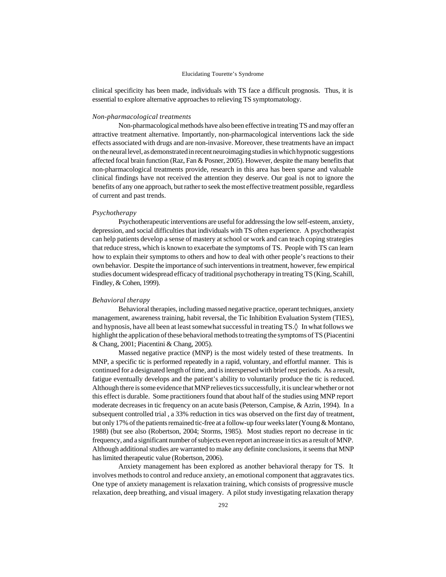clinical specificity has been made, individuals with TS face a difficult prognosis. Thus, it is essential to explore alternative approaches to relieving TS symptomatology.

## *Non-pharmacological treatments*

Non-pharmacological methods have also been effective in treating TS and may offer an attractive treatment alternative. Importantly, non-pharmacological interventions lack the side effects associated with drugs and are non-invasive. Moreover, these treatments have an impact on the neural level, as demonstrated in recent neuroimaging studies in which hypnotic suggestions affected focal brain function (Raz, Fan & Posner, 2005). However, despite the many benefits that non-pharmacological treatments provide, research in this area has been sparse and valuable clinical findings have not received the attention they deserve. Our goal is not to ignore the benefits of any one approach, but rather to seek the most effective treatment possible, regardless of current and past trends.

### *Psychotherapy*

Psychotherapeutic interventions are useful for addressing the low self-esteem, anxiety, depression, and social difficulties that individuals with TS often experience. A psychotherapist can help patients develop a sense of mastery at school or work and can teach coping strategies that reduce stress, which is known to exacerbate the symptoms of TS. People with TS can learn how to explain their symptoms to others and how to deal with other people's reactions to their own behavior. Despite the importance of such interventions in treatment, however, few empirical studies document widespread efficacy of traditional psychotherapy in treating TS (King, Scahill, Findley, & Cohen, 1999).

## *Behavioral therapy*

Behavioral therapies, including massed negative practice, operant techniques, anxiety management, awareness training, habit reversal, the Tic Inhibition Evaluation System (TIES), and hypnosis, have all been at least somewhat successful in treating  $TS.\Diamond$  In what follows we highlight the application of these behavioral methods to treating the symptoms of TS (Piacentini & Chang, 2001; Piacentini & Chang, 2005).

Massed negative practice (MNP) is the most widely tested of these treatments. In MNP, a specific tic is performed repeatedly in a rapid, voluntary, and effortful manner. This is continued for a designated length of time, and is interspersed with brief rest periods. As a result, fatigue eventually develops and the patient's ability to voluntarily produce the tic is reduced. Although there is some evidence that MNP relieves tics successfully, it is unclear whether or not this effect is durable. Some practitioners found that about half of the studies using MNP report moderate decreases in tic frequency on an acute basis (Peterson, Campise, & Azrin, 1994). In a subsequent controlled trial , a 33% reduction in tics was observed on the first day of treatment, but only 17% of the patients remained tic-free at a follow-up four weeks later (Young & Montano, 1988) (but see also (Robertson, 2004; Storms, 1985). Most studies report no decrease in tic frequency, and a significant number of subjects even report an increase in tics as a result of MNP. Although additional studies are warranted to make any definite conclusions, it seems that MNP has limited therapeutic value (Robertson, 2006).

Anxiety management has been explored as another behavioral therapy for TS. It involves methods to control and reduce anxiety, an emotional component that aggravates tics. One type of anxiety management is relaxation training, which consists of progressive muscle relaxation, deep breathing, and visual imagery. A pilot study investigating relaxation therapy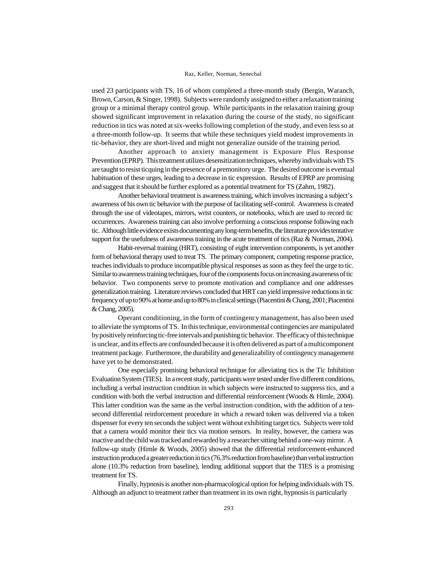used 23 participants with TS, 16 of whom completed a three-month study (Bergin, Waranch, Brown, Carson, & Singer, 1998). Subjects were randomly assigned to either a relaxation training group or a minimal therapy control group. While participants in the relaxation training group showed significant improvement in relaxation during the course of the study, no significant reduction in tics was noted at six-weeks following completion of the study, and even less so at a three-month follow-up. It seems that while these techniques yield modest improvements in tic-behavior, they are short-lived and might not generalize outside of the training period.

Another approach to anxiety management is Exposure Plus Response Prevention (EPRP). This treatment utilizes desensitization techniques, whereby individuals with TS are taught to resist ticquing in the presence of a premonitory urge. The desired outcome is eventual habituation of these urges, leading to a decrease in tic expression. Results of EPRP are promising and suggest that it should be further explored as a potential treatment for TS (Zahm, 1982).

Another behavioral treatment is awareness training, which involves increasing a subject's awareness of his own tic behavior with the purpose of facilitating self-control. Awareness is created through the use of videotapes, mirrors, wrist counters, or notebooks, which are used to record tic occurrences. Awareness training can also involve performing a conscious response following each tic. Although little evidence exists documenting any long-term benefits, the literature provides tentative support for the usefulness of awareness training in the acute treatment of tics (Raz & Norman, 2004).

Habit-reversal training (HRT), consisting of eight intervention components, is yet another form of behavioral therapy used to treat TS. The primary component, competing response practice, teaches individuals to produce incompatible physical responses as soon as they feel the urge to tic. Similar to awareness training techniques, four of the components focus on increasing awareness of tic behavior. Two components serve to promote motivation and compliance and one addresses generalization training. Literature reviews concluded that HRT can yield impressive reductions in tic frequency of up to 90% at home and up to 80% in clinical settings (Piacentini & Chang, 2001; Piacentini & Chang, 2005).

Operant conditioning, in the form of contingency management, has also been used to alleviate the symptoms of TS. In this technique, environmental contingencies are manipulated by positively reinforcing tic-free intervals and punishing tic behavior. The efficacy of this technique is unclear, and its effects are confounded because it is often delivered as part of a multicomponent treatment package. Furthermore, the durability and generalizability of contingency management have yet to be demonstrated.

One especially promising behavioral technique for alleviating tics is the Tic Inhibition Evaluation System (TIES). In a recent study, participants were tested under five different conditions, including a verbal instruction condition in which subjects were instructed to suppress tics, and a condition with both the verbal instruction and differential reinforcement (Woods & Himle, 2004). This latter condition was the same as the verbal instruction condition, with the addition of a tensecond differential reinforcement procedure in which a reward token was delivered via a token dispenser for every ten seconds the subject went without exhibiting target tics. Subjects were told that a camera would monitor their tics via motion sensors. In reality, however, the camera was inactive and the child was tracked and rewarded by a researcher sitting behind a one-way mirror. A follow-up study (Himle & Woods, 2005) showed that the differential reinforcement-enhanced instruction produced a greater reduction in tics (76.3% reduction from baseline) than verbal instruction alone (10.3% reduction from baseline), lending additional support that the TIES is a promising treatment for TS.

Finally, hypnosis is another non-pharmacological option for helping individuals with TS. Although an adjunct to treatment rather than treatment in its own right, hypnosis is particularly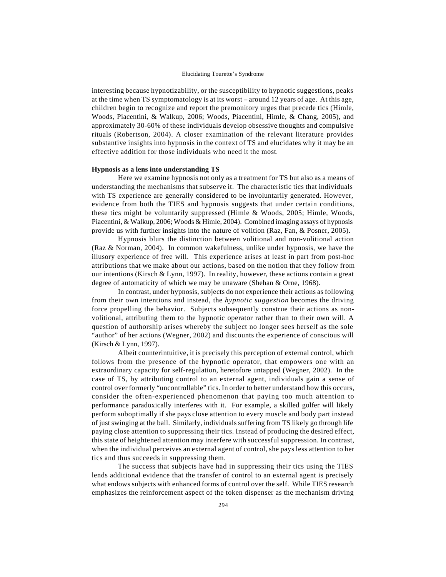interesting because hypnotizability, or the susceptibility to hypnotic suggestions, peaks at the time when TS symptomatology is at its worst – around 12 years of age. At this age, children begin to recognize and report the premonitory urges that precede tics (Himle, Woods, Piacentini, & Walkup, 2006; Woods, Piacentini, Himle, & Chang, 2005), and approximately 30-60% of these individuals develop obsessive thoughts and compulsive rituals (Robertson, 2004). A closer examination of the relevant literature provides substantive insights into hypnosis in the context of TS and elucidates why it may be an effective addition for those individuals who need it the most.

## **Hypnosis as a lens into understanding TS**

Here we examine hypnosis not only as a treatment for TS but also as a means of understanding the mechanisms that subserve it. The characteristic tics that individuals with TS experience are generally considered to be involuntarily generated. However, evidence from both the TIES and hypnosis suggests that under certain conditions, these tics might be voluntarily suppressed (Himle & Woods, 2005; Himle, Woods, Piacentini, & Walkup, 2006; Woods & Himle, 2004). Combined imaging assays of hypnosis provide us with further insights into the nature of volition (Raz, Fan, & Posner, 2005).

Hypnosis blurs the distinction between volitional and non-volitional action (Raz & Norman, 2004). In common wakefulness, unlike under hypnosis, we have the illusory experience of free will. This experience arises at least in part from post-hoc attributions that we make about our actions, based on the notion that they follow from our intentions (Kirsch & Lynn, 1997). In reality, however, these actions contain a great degree of automaticity of which we may be unaware (Shehan & Orne, 1968).

In contrast, under hypnosis, subjects do not experience their actions as following from their own intentions and instead, the *hypnotic suggestion* becomes the driving force propelling the behavior. Subjects subsequently construe their actions as nonvolitional, attributing them to the hypnotic operator rather than to their own will. A question of authorship arises whereby the subject no longer sees herself as the sole "author" of her actions (Wegner, 2002) and discounts the experience of conscious will (Kirsch & Lynn, 1997).

Albeit counterintuitive, it is precisely this perception of external control, which follows from the presence of the hypnotic operator, that empowers one with an extraordinary capacity for self-regulation, heretofore untapped (Wegner, 2002). In the case of TS, by attributing control to an external agent, individuals gain a sense of control over formerly "uncontrollable" tics. In order to better understand how this occurs, consider the often-experienced phenomenon that paying too much attention to performance paradoxically interferes with it. For example, a skilled golfer will likely perform suboptimally if she pays close attention to every muscle and body part instead of just swinging at the ball. Similarly, individuals suffering from TS likely go through life paying close attention to suppressing their tics. Instead of producing the desired effect, this state of heightened attention may interfere with successful suppression. In contrast, when the individual perceives an external agent of control, she pays less attention to her tics and thus succeeds in suppressing them.

The success that subjects have had in suppressing their tics using the TIES lends additional evidence that the transfer of control to an external agent is precisely what endows subjects with enhanced forms of control over the self. While TIES research emphasizes the reinforcement aspect of the token dispenser as the mechanism driving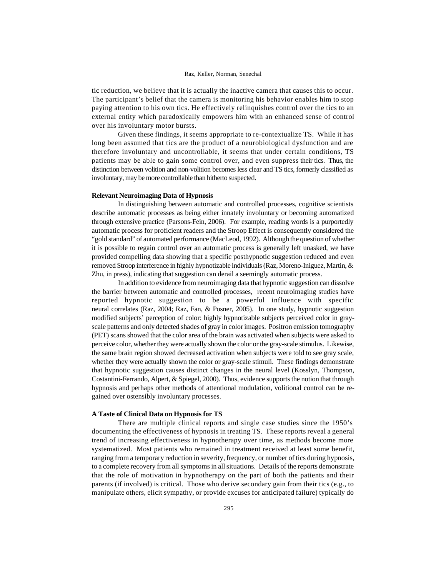tic reduction, we believe that it is actually the inactive camera that causes this to occur. The participant's belief that the camera is monitoring his behavior enables him to stop paying attention to his own tics. He effectively relinquishes control over the tics to an external entity which paradoxically empowers him with an enhanced sense of control over his involuntary motor bursts.

Given these findings, it seems appropriate to re-contextualize TS. While it has long been assumed that tics are the product of a neurobiological dysfunction and are therefore involuntary and uncontrollable, it seems that under certain conditions, TS patients may be able to gain some control over, and even suppress their tics. Thus, the distinction between volition and non-volition becomes less clear and TS tics, formerly classified as involuntary, may be more controllable than hitherto suspected.

## **Relevant Neuroimaging Data of Hypnosis**

In distinguishing between automatic and controlled processes, cognitive scientists describe automatic processes as being either innately involuntary or becoming automatized through extensive practice (Parsons-Fein, 2006). For example, reading words is a purportedly automatic process for proficient readers and the Stroop Effect is consequently considered the "gold standard" of automated performance (MacLeod, 1992). Although the question of whether it is possible to regain control over an automatic process is generally left unasked, we have provided compelling data showing that a specific posthypnotic suggestion reduced and even removed Stroop interference in highly hypnotizable individuals (Raz, Moreno-Iniguez, Martin, & Zhu, in press), indicating that suggestion can derail a seemingly automatic process.

In addition to evidence from neuroimaging data that hypnotic suggestion can dissolve the barrier between automatic and controlled processes, recent neuroimaging studies have reported hypnotic suggestion to be a powerful influence with specific neural correlates (Raz, 2004; Raz, Fan, & Posner, 2005). In one study, hypnotic suggestion modified subjects' perception of color: highly hypnotizable subjects perceived color in grayscale patterns and only detected shades of gray in color images. Positron emission tomography (PET) scans showed that the color area of the brain was activated when subjects were asked to perceive color, whether they were actually shown the color or the gray-scale stimulus. Likewise, the same brain region showed decreased activation when subjects were told to see gray scale, whether they were actually shown the color or gray-scale stimuli. These findings demonstrate that hypnotic suggestion causes distinct changes in the neural level (Kosslyn, Thompson, Costantini-Ferrando, Alpert, & Spiegel, 2000). Thus, evidence supports the notion that through hypnosis and perhaps other methods of attentional modulation, volitional control can be regained over ostensibly involuntary processes.

## **A Taste of Clinical Data on Hypnosis for TS**

There are multiple clinical reports and single case studies since the 1950's documenting the effectiveness of hypnosis in treating TS. These reports reveal a general trend of increasing effectiveness in hypnotherapy over time, as methods become more systematized. Most patients who remained in treatment received at least some benefit, ranging from a temporary reduction in severity, frequency, or number of tics during hypnosis, to a complete recovery from all symptoms in all situations. Details of the reports demonstrate that the role of motivation in hypnotherapy on the part of both the patients and their parents (if involved) is critical. Those who derive secondary gain from their tics (e.g., to manipulate others, elicit sympathy, or provide excuses for anticipated failure) typically do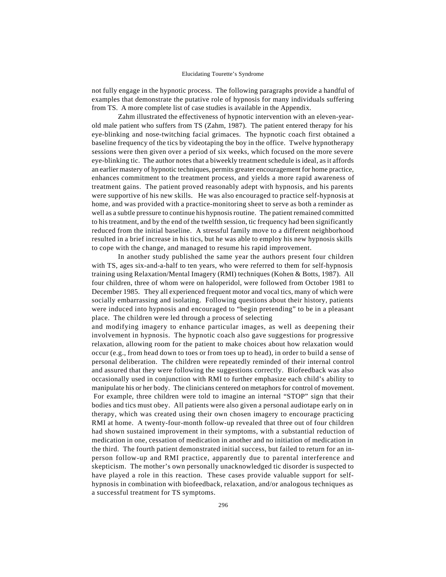not fully engage in the hypnotic process. The following paragraphs provide a handful of examples that demonstrate the putative role of hypnosis for many individuals suffering from TS. A more complete list of case studies is available in the Appendix.

Zahm illustrated the effectiveness of hypnotic intervention with an eleven-yearold male patient who suffers from TS (Zahm, 1987). The patient entered therapy for his eye-blinking and nose-twitching facial grimaces. The hypnotic coach first obtained a baseline frequency of the tics by videotaping the boy in the office. Twelve hypnotherapy sessions were then given over a period of six weeks, which focused on the more severe eye-blinking tic. The author notes that a biweekly treatment schedule is ideal, as it affords an earlier mastery of hypnotic techniques, permits greater encouragement for home practice, enhances commitment to the treatment process, and yields a more rapid awareness of treatment gains. The patient proved reasonably adept with hypnosis, and his parents were supportive of his new skills. He was also encouraged to practice self-hypnosis at home, and was provided with a practice-monitoring sheet to serve as both a reminder as well as a subtle pressure to continue his hypnosis routine. The patient remained committed to his treatment, and by the end of the twelfth session, tic frequency had been significantly reduced from the initial baseline. A stressful family move to a different neighborhood resulted in a brief increase in his tics, but he was able to employ his new hypnosis skills to cope with the change, and managed to resume his rapid improvement.

In another study published the same year the authors present four children with TS, ages six-and-a-half to ten years, who were referred to them for self-hypnosis training using Relaxation/Mental Imagery (RMI) techniques (Kohen & Botts, 1987). All four children, three of whom were on haloperidol, were followed from October 1981 to December 1985. They all experienced frequent motor and vocal tics, many of which were socially embarrassing and isolating. Following questions about their history, patients were induced into hypnosis and encouraged to "begin pretending" to be in a pleasant place. The children were led through a process of selecting

and modifying imagery to enhance particular images, as well as deepening their involvement in hypnosis. The hypnotic coach also gave suggestions for progressive relaxation, allowing room for the patient to make choices about how relaxation would occur (e.g., from head down to toes or from toes up to head), in order to build a sense of personal deliberation. The children were repeatedly reminded of their internal control and assured that they were following the suggestions correctly. Biofeedback was also occasionally used in conjunction with RMI to further emphasize each child's ability to manipulate his or her body. The clinicians centered on metaphors for control of movement. For example, three children were told to imagine an internal "STOP" sign that their bodies and tics must obey. All patients were also given a personal audiotape early on in therapy, which was created using their own chosen imagery to encourage practicing RMI at home. A twenty-four-month follow-up revealed that three out of four children had shown sustained improvement in their symptoms, with a substantial reduction of medication in one, cessation of medication in another and no initiation of medication in the third. The fourth patient demonstrated initial success, but failed to return for an inperson follow-up and RMI practice, apparently due to parental interference and skepticism. The mother's own personally unacknowledged tic disorder is suspected to have played a role in this reaction. These cases provide valuable support for selfhypnosis in combination with biofeedback, relaxation, and/or analogous techniques as a successful treatment for TS symptoms.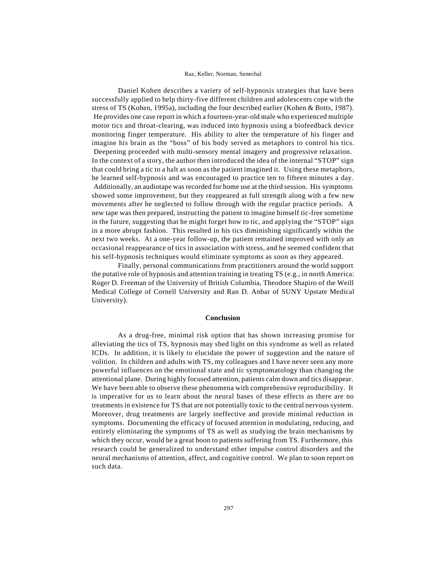Daniel Kohen describes a variety of self-hypnosis strategies that have been successfully applied to help thirty-five different children and adolescents cope with the stress of TS (Kohen, 1995a), including the four described earlier (Kohen & Botts, 1987). He provides one case report in which a fourteen-year-old male who experienced multiple motor tics and throat-clearing, was induced into hypnosis using a biofeedback device monitoring finger temperature. His ability to alter the temperature of his finger and imagine his brain as the "boss" of his body served as metaphors to control his tics. Deepening proceeded with multi-sensory mental imagery and progressive relaxation. In the context of a story, the author then introduced the idea of the internal "STOP" sign that could bring a tic to a halt as soon as the patient imagined it. Using these metaphors, he learned self-hypnosis and was encouraged to practice ten to fifteen minutes a day. Additionally, an audiotape was recorded for home use at the third session. His symptoms showed some improvement, but they reappeared at full strength along with a few new movements after he neglected to follow through with the regular practice periods. A new tape was then prepared, instructing the patient to imagine himself tic-free sometime in the future, suggesting that he might forget how to tic, and applying the "STOP" sign in a more abrupt fashion. This resulted in his tics diminishing significantly within the next two weeks. At a one-year follow-up, the patient remained improved with only an occasional reappearance of tics in association with stress, and he seemed confident that his self-hypnosis techniques would eliminate symptoms as soon as they appeared.

Finally, personal communications from practitioners around the world support the putative role of hypnosis and attention training in treating TS (e.g., in north America: Roger D. Freeman of the University of British Columbia, Theodore Shapiro of the Weill Medical College of Cornell University and Ran D. Anbar of SUNY Upstate Medical University).

## **Conclusion**

As a drug-free, minimal risk option that has shown increasing promise for alleviating the tics of TS, hypnosis may shed light on this syndrome as well as related ICDs. In addition, it is likely to elucidate the power of suggestion and the nature of volition. In children and adults with TS, my colleagues and I have never seen any more powerful influences on the emotional state and tic symptomatology than changing the attentional plane. During highly focused attention, patients calm down and tics disappear. We have been able to observe these phenomena with comprehensive reproducibility. It is imperative for us to learn about the neural bases of these effects as there are no treatments in existence for TS that are not potentially toxic to the central nervous system. Moreover, drug treatments are largely ineffective and provide minimal reduction in symptoms. Documenting the efficacy of focused attention in modulating, reducing, and entirely eliminating the symptoms of TS as well as studying the brain mechanisms by which they occur, would be a great boon to patients suffering from TS. Furthermore, this research could be generalized to understand other impulse control disorders and the neural mechanisms of attention, affect, and cognitive control. We plan to soon report on such data.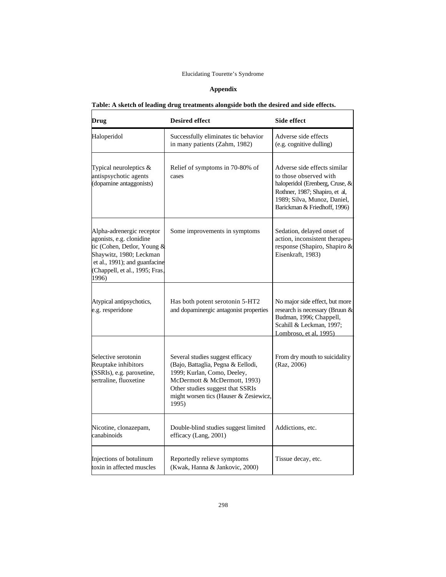# **Appendix**

٦

# **Table: A sketch of leading drug treatments alongside both the desired and side effects.**

| Drug                                                                                                                                                                                       | <b>Desired effect</b>                                                                                                                                                                                                        | <b>Side effect</b>                                                                                                                                                                         |
|--------------------------------------------------------------------------------------------------------------------------------------------------------------------------------------------|------------------------------------------------------------------------------------------------------------------------------------------------------------------------------------------------------------------------------|--------------------------------------------------------------------------------------------------------------------------------------------------------------------------------------------|
| Haloperidol                                                                                                                                                                                | Successfully eliminates tic behavior<br>in many patients (Zahm, 1982)                                                                                                                                                        | Adverse side effects<br>(e.g. cognitive dulling)                                                                                                                                           |
| Typical neuroleptics &<br>antispsychotic agents<br>(dopamine antaggonists)                                                                                                                 | Relief of symptoms in 70-80% of<br>cases                                                                                                                                                                                     | Adverse side effects similar<br>to those observed with<br>haloperidol (Erenberg, Cruse, &<br>Rothner, 1987; Shapiro, et al,<br>1989; Silva, Munoz, Daniel,<br>Barickman & Friedhoff, 1996) |
| Alpha-adrenergic receptor<br>agonists, e.g. clonidine<br>tic (Cohen, Detlor, Young &<br>Shaywitz, 1980; Leckman<br>et al., 1991); and guanfacine<br>(Chappell, et al., 1995; Fras<br>1996) | Some improvements in symptoms                                                                                                                                                                                                | Sedation, delayed onset of<br>action, inconsistent therapeu-<br>response (Shapiro, Shapiro &<br>Eisenkraft, 1983)                                                                          |
| Atypical antipsychotics,<br>e.g. resperidone                                                                                                                                               | Has both potent serotonin 5-HT2<br>and dopaminergic antagonist properties                                                                                                                                                    | No major side effect, but more<br>research is necessary (Bruun &<br>Budman, 1996; Chappell,<br>Scahill & Leckman, 1997;<br>Lombroso, et al, 1995)                                          |
| Selective serotonin<br>Reuptake inhibitors<br>(SSRIs), e.g. paroxetine,<br>sertraline, fluoxetine                                                                                          | Several studies suggest efficacy<br>(Bajo, Battaglia, Pegna & Eellodi,<br>1999; Kurlan, Como, Deeley,<br>McDermott & McDermott, 1993)<br>Other studies suggest that SSRIs<br>might worsen tics (Hauser & Zesiewicz,<br>1995) | From dry mouth to suicidality<br>(Raz, 2006)                                                                                                                                               |
| Nicotine, clonazepam,<br>canabinoids                                                                                                                                                       | Double-blind studies suggest limited<br>efficacy (Lang, 2001)                                                                                                                                                                | Addictions, etc.                                                                                                                                                                           |
| Injections of botulinum<br>toxin in affected muscles                                                                                                                                       | Reportedly relieve symptoms<br>(Kwak, Hanna & Jankovic, 2000)                                                                                                                                                                | Tissue decay, etc.                                                                                                                                                                         |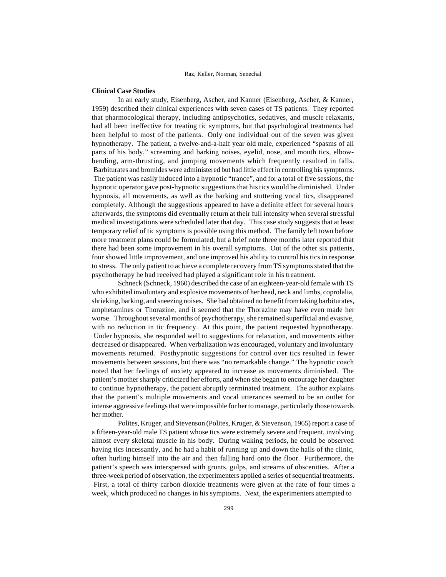## **Clinical Case Studies**

In an early study, Eisenberg, Ascher, and Kanner (Eisenberg, Ascher, & Kanner, 1959) described their clinical experiences with seven cases of TS patients. They reported that pharmocological therapy, including antipsychotics, sedatives, and muscle relaxants, had all been ineffective for treating tic symptoms, but that psychological treatments had been helpful to most of the patients. Only one individual out of the seven was given hypnotherapy. The patient, a twelve-and-a-half year old male, experienced "spasms of all parts of his body," screaming and barking noises, eyelid, nose, and mouth tics, elbowbending, arm-thrusting, and jumping movements which frequently resulted in falls. Barbiturates and bromides were administered but had little effect in controlling his symptoms. The patient was easily induced into a hypnotic "trance", and for a total of five sessions, the hypnotic operator gave post-hypnotic suggestions that his tics would be diminished. Under hypnosis, all movements, as well as the barking and stuttering vocal tics, disappeared completely. Although the suggestions appeared to have a definite effect for several hours afterwards, the symptoms did eventually return at their full intensity when several stressful medical investigations were scheduled later that day. This case study suggests that at least temporary relief of tic symptoms is possible using this method. The family left town before more treatment plans could be formulated, but a brief note three months later reported that there had been some improvement in his overall symptoms. Out of the other six patients, four showed little improvement, and one improved his ability to control his tics in response to stress. The only patient to achieve a complete recovery from TS symptoms stated that the psychotherapy he had received had played a significant role in his treatment.

Schneck (Schneck, 1960) described the case of an eighteen-year-old female with TS who exhibited involuntary and explosive movements of her head, neck and limbs, coprolalia, shrieking, barking, and sneezing noises. She had obtained no benefit from taking barbiturates, amphetamines or Thorazine, and it seemed that the Thorazine may have even made her worse. Throughout several months of psychotherapy, she remained superficial and evasive, with no reduction in tic frequency. At this point, the patient requested hypnotherapy. Under hypnosis, she responded well to suggestions for relaxation, and movements either decreased or disappeared. When verbalization was encouraged, voluntary and involuntary movements returned. Posthypnotic suggestions for control over tics resulted in fewer movements between sessions, but there was "no remarkable change." The hypnotic coach noted that her feelings of anxiety appeared to increase as movements diminished. The patient's mother sharply criticized her efforts, and when she began to encourage her daughter to continue hypnotherapy, the patient abruptly terminated treatment. The author explains that the patient's multiple movements and vocal utterances seemed to be an outlet for intense aggressive feelings that were impossible for her to manage, particularly those towards her mother.

Polites, Kruger, and Stevenson (Polites, Kruger, & Stevenson, 1965) report a case of a fifteen-year-old male TS patient whose tics were extremely severe and frequent, involving almost every skeletal muscle in his body. During waking periods, he could be observed having tics incessantly, and he had a habit of running up and down the halls of the clinic, often hurling himself into the air and then falling hard onto the floor. Furthermore, the patient's speech was interspersed with grunts, gulps, and streams of obscenities. After a three-week period of observation, the experimenters applied a series of sequential treatments. First, a total of thirty carbon dioxide treatments were given at the rate of four times a week, which produced no changes in his symptoms. Next, the experimenters attempted to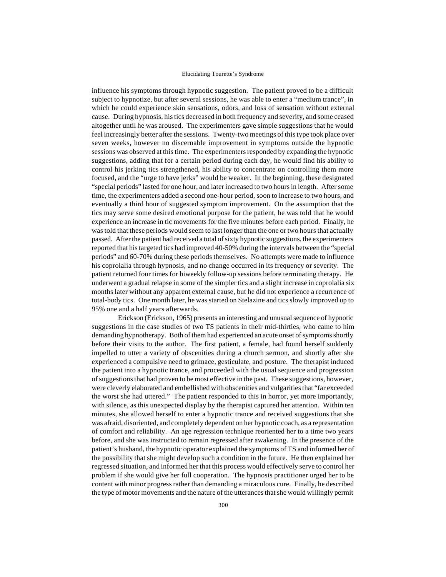influence his symptoms through hypnotic suggestion. The patient proved to be a difficult subject to hypnotize, but after several sessions, he was able to enter a "medium trance", in which he could experience skin sensations, odors, and loss of sensation without external cause. During hypnosis, his tics decreased in both frequency and severity, and some ceased altogether until he was aroused. The experimenters gave simple suggestions that he would feel increasingly better after the sessions. Twenty-two meetings of this type took place over seven weeks, however no discernable improvement in symptoms outside the hypnotic sessions was observed at this time. The experimenters responded by expanding the hypnotic suggestions, adding that for a certain period during each day, he would find his ability to control his jerking tics strengthened, his ability to concentrate on controlling them more focused, and the "urge to have jerks" would be weaker. In the beginning, these designated "special periods" lasted for one hour, and later increased to two hours in length. After some time, the experimenters added a second one-hour period, soon to increase to two hours, and eventually a third hour of suggested symptom improvement. On the assumption that the tics may serve some desired emotional purpose for the patient, he was told that he would experience an increase in tic movements for the five minutes before each period. Finally, he was told that these periods would seem to last longer than the one or two hours that actually passed. After the patient had received a total of sixty hypnotic suggestions, the experimenters reported that his targeted tics had improved 40-50% during the intervals between the "special periods" and 60-70% during these periods themselves. No attempts were made to influence his coprolalia through hypnosis, and no change occurred in its frequency or severity. The patient returned four times for biweekly follow-up sessions before terminating therapy. He underwent a gradual relapse in some of the simpler tics and a slight increase in coprolalia six months later without any apparent external cause, but he did not experience a recurrence of total-body tics. One month later, he was started on Stelazine and tics slowly improved up to 95% one and a half years afterwards.

Erickson (Erickson, 1965) presents an interesting and unusual sequence of hypnotic suggestions in the case studies of two TS patients in their mid-thirties, who came to him demanding hypnotherapy. Both of them had experienced an acute onset of symptoms shortly before their visits to the author. The first patient, a female, had found herself suddenly impelled to utter a variety of obscenities during a church sermon, and shortly after she experienced a compulsive need to grimace, gesticulate, and posture. The therapist induced the patient into a hypnotic trance, and proceeded with the usual sequence and progression of suggestions that had proven to be most effective in the past. These suggestions, however, were cleverly elaborated and embellished with obscenities and vulgarities that "far exceeded the worst she had uttered." The patient responded to this in horror, yet more importantly, with silence, as this unexpected display by the therapist captured her attention. Within ten minutes, she allowed herself to enter a hypnotic trance and received suggestions that she was afraid, disoriented, and completely dependent on her hypnotic coach, as a representation of comfort and reliability. An age regression technique reoriented her to a time two years before, and she was instructed to remain regressed after awakening. In the presence of the patient's husband, the hypnotic operator explained the symptoms of TS and informed her of the possibility that she might develop such a condition in the future. He then explained her regressed situation, and informed her that this process would effectively serve to control her problem if she would give her full cooperation. The hypnosis practitioner urged her to be content with minor progress rather than demanding a miraculous cure. Finally, he described the type of motor movements and the nature of the utterances that she would willingly permit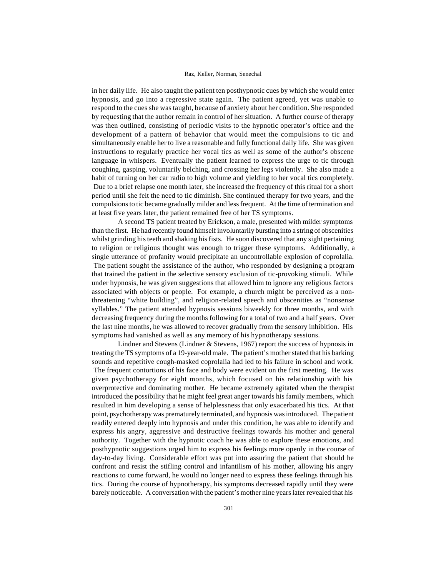in her daily life. He also taught the patient ten posthypnotic cues by which she would enter hypnosis, and go into a regressive state again. The patient agreed, yet was unable to respond to the cues she was taught, because of anxiety about her condition. She responded by requesting that the author remain in control of her situation. A further course of therapy was then outlined, consisting of periodic visits to the hypnotic operator's office and the development of a pattern of behavior that would meet the compulsions to tic and simultaneously enable her to live a reasonable and fully functional daily life. She was given instructions to regularly practice her vocal tics as well as some of the author's obscene language in whispers. Eventually the patient learned to express the urge to tic through coughing, gasping, voluntarily belching, and crossing her legs violently. She also made a habit of turning on her car radio to high volume and yielding to her vocal tics completely. Due to a brief relapse one month later, she increased the frequency of this ritual for a short period until she felt the need to tic diminish. She continued therapy for two years, and the compulsions to tic became gradually milder and less frequent. At the time of termination and at least five years later, the patient remained free of her TS symptoms.

A second TS patient treated by Erickson, a male, presented with milder symptoms than the first. He had recently found himself involuntarily bursting into a string of obscenities whilst grinding his teeth and shaking his fists. He soon discovered that any sight pertaining to religion or religious thought was enough to trigger these symptoms. Additionally, a single utterance of profanity would precipitate an uncontrollable explosion of coprolalia. The patient sought the assistance of the author, who responded by designing a program that trained the patient in the selective sensory exclusion of tic-provoking stimuli. While under hypnosis, he was given suggestions that allowed him to ignore any religious factors associated with objects or people. For example, a church might be perceived as a nonthreatening "white building", and religion-related speech and obscenities as "nonsense syllables." The patient attended hypnosis sessions biweekly for three months, and with decreasing frequency during the months following for a total of two and a half years. Over the last nine months, he was allowed to recover gradually from the sensory inhibition. His symptoms had vanished as well as any memory of his hypnotherapy sessions.

Lindner and Stevens (Lindner & Stevens, 1967) report the success of hypnosis in treating the TS symptoms of a 19-year-old male. The patient's mother stated that his barking sounds and repetitive cough-masked coprolalia had led to his failure in school and work. The frequent contortions of his face and body were evident on the first meeting. He was given psychotherapy for eight months, which focused on his relationship with his overprotective and dominating mother. He became extremely agitated when the therapist introduced the possibility that he might feel great anger towards his family members, which resulted in him developing a sense of helplessness that only exacerbated his tics. At that point, psychotherapy was prematurely terminated, and hypnosis was introduced. The patient readily entered deeply into hypnosis and under this condition, he was able to identify and express his angry, aggressive and destructive feelings towards his mother and general authority. Together with the hypnotic coach he was able to explore these emotions, and posthypnotic suggestions urged him to express his feelings more openly in the course of day-to-day living. Considerable effort was put into assuring the patient that should he confront and resist the stifling control and infantilism of his mother, allowing his angry reactions to come forward, he would no longer need to express these feelings through his tics. During the course of hypnotherapy, his symptoms decreased rapidly until they were barely noticeable. A conversation with the patient's mother nine years later revealed that his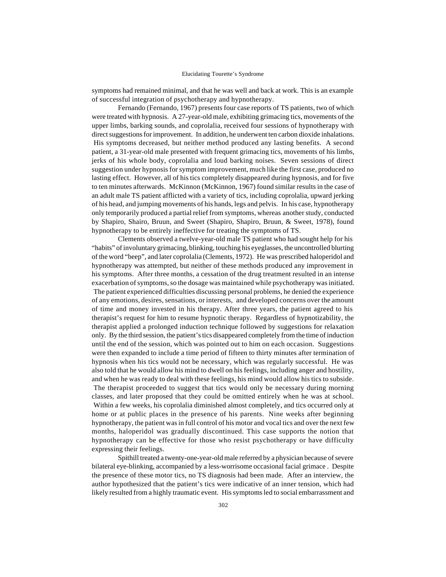symptoms had remained minimal, and that he was well and back at work. This is an example of successful integration of psychotherapy and hypnotherapy.

Fernando (Fernando, 1967) presents four case reports of TS patients, two of which were treated with hypnosis. A 27-year-old male, exhibiting grimacing tics, movements of the upper limbs, barking sounds, and coprolalia, received four sessions of hypnotherapy with direct suggestions for improvement. In addition, he underwent ten carbon dioxide inhalations. His symptoms decreased, but neither method produced any lasting benefits. A second patient, a 31-year-old male presented with frequent grimacing tics, movements of his limbs, jerks of his whole body, coprolalia and loud barking noises. Seven sessions of direct suggestion under hypnosis for symptom improvement, much like the first case, produced no lasting effect. However, all of his tics completely disappeared during hypnosis, and for five to ten minutes afterwards. McKinnon (McKinnon, 1967) found similar results in the case of an adult male TS patient afflicted with a variety of tics, including coprolalia, upward jerking of his head, and jumping movements of his hands, legs and pelvis. In his case, hypnotherapy only temporarily produced a partial relief from symptoms, whereas another study, conducted by Shapiro, Shairo, Bruun, and Sweet (Shapiro, Shapiro, Bruun, & Sweet, 1978), found hypnotherapy to be entirely ineffective for treating the symptoms of TS.

Clements observed a twelve-year-old male TS patient who had sought help for his "habits" of involuntary grimacing, blinking, touching his eyeglasses, the uncontrolled blurting of the word "beep", and later coprolalia (Clements, 1972). He was prescribed haloperidol and hypnotherapy was attempted, but neither of these methods produced any improvement in his symptoms. After three months, a cessation of the drug treatment resulted in an intense exacerbation of symptoms, so the dosage was maintained while psychotherapy was initiated. The patient experienced difficulties discussing personal problems, he denied the experience of any emotions, desires, sensations, or interests, and developed concerns over the amount of time and money invested in his therapy. After three years, the patient agreed to his therapist's request for him to resume hypnotic therapy. Regardless of hypnotizability, the therapist applied a prolonged induction technique followed by suggestions for relaxation only. By the third session, the patient's tics disappeared completely from the time of induction until the end of the session, which was pointed out to him on each occasion. Suggestions were then expanded to include a time period of fifteen to thirty minutes after termination of hypnosis when his tics would not be necessary, which was regularly successful. He was also told that he would allow his mind to dwell on his feelings, including anger and hostility, and when he was ready to deal with these feelings, his mind would allow his tics to subside. The therapist proceeded to suggest that tics would only be necessary during morning classes, and later proposed that they could be omitted entirely when he was at school. Within a few weeks, his coprolalia diminished almost completely, and tics occurred only at home or at public places in the presence of his parents. Nine weeks after beginning hypnotherapy, the patient was in full control of his motor and vocal tics and over the next few months, haloperidol was gradually discontinued. This case supports the notion that hypnotherapy can be effective for those who resist psychotherapy or have difficulty expressing their feelings.

Spithill treated a twenty-one-year-old male referred by a physician because of severe bilateral eye-blinking, accompanied by a less-worrisome occasional facial grimace . Despite the presence of these motor tics, no TS diagnosis had been made. After an interview, the author hypothesized that the patient's tics were indicative of an inner tension, which had likely resulted from a highly traumatic event. His symptoms led to social embarrassment and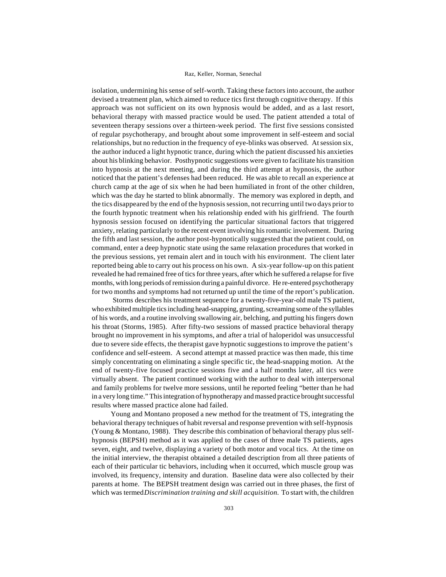isolation, undermining his sense of self-worth. Taking these factors into account, the author devised a treatment plan, which aimed to reduce tics first through cognitive therapy. If this approach was not sufficient on its own hypnosis would be added, and as a last resort, behavioral therapy with massed practice would be used. The patient attended a total of seventeen therapy sessions over a thirteen-week period. The first five sessions consisted of regular psychotherapy, and brought about some improvement in self-esteem and social relationships, but no reduction in the frequency of eye-blinks was observed. At session six, the author induced a light hypnotic trance, during which the patient discussed his anxieties about his blinking behavior. Posthypnotic suggestions were given to facilitate his transition into hypnosis at the next meeting, and during the third attempt at hypnosis, the author noticed that the patient's defenses had been reduced. He was able to recall an experience at church camp at the age of six when he had been humiliated in front of the other children, which was the day he started to blink abnormally. The memory was explored in depth, and the tics disappeared by the end of the hypnosis session, not recurring until two days prior to the fourth hypnotic treatment when his relationship ended with his girlfriend. The fourth hypnosis session focused on identifying the particular situational factors that triggered anxiety, relating particularly to the recent event involving his romantic involvement. During the fifth and last session, the author post-hypnotically suggested that the patient could, on command, enter a deep hypnotic state using the same relaxation procedures that worked in the previous sessions, yet remain alert and in touch with his environment. The client later reported being able to carry out his process on his own. A six-year follow-up on this patient revealed he had remained free of tics for three years, after which he suffered a relapse for five months, with long periods of remission during a painful divorce. He re-entered psychotherapy for two months and symptoms had not returned up until the time of the report's publication.

 Storms describes his treatment sequence for a twenty-five-year-old male TS patient, who exhibited multiple tics including head-snapping, grunting, screaming some of the syllables of his words, and a routine involving swallowing air, belching, and putting his fingers down his throat (Storms, 1985). After fifty-two sessions of massed practice behavioral therapy brought no improvement in his symptoms, and after a trial of haloperidol was unsuccessful due to severe side effects, the therapist gave hypnotic suggestions to improve the patient's confidence and self-esteem. A second attempt at massed practice was then made, this time simply concentrating on eliminating a single specific tic, the head-snapping motion. At the end of twenty-five focused practice sessions five and a half months later, all tics were virtually absent. The patient continued working with the author to deal with interpersonal and family problems for twelve more sessions, until he reported feeling "better than he had in a very long time." This integration of hypnotherapy and massed practice brought successful results where massed practice alone had failed.

 Young and Montano proposed a new method for the treatment of TS, integrating the behavioral therapy techniques of habit reversal and response prevention with self-hypnosis (Young & Montano, 1988). They describe this combination of behavioral therapy plus selfhypnosis (BEPSH) method as it was applied to the cases of three male TS patients, ages seven, eight, and twelve, displaying a variety of both motor and vocal tics. At the time on the initial interview, the therapist obtained a detailed description from all three patients of each of their particular tic behaviors, including when it occurred, which muscle group was involved, its frequency, intensity and duration. Baseline data were also collected by their parents at home. The BEPSH treatment design was carried out in three phases, the first of which was termed *Discrimination training and skill acquisition.* To start with, the children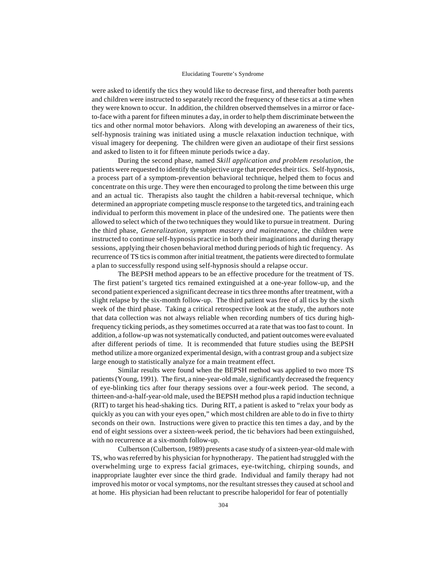were asked to identify the tics they would like to decrease first, and thereafter both parents and children were instructed to separately record the frequency of these tics at a time when they were known to occur. In addition, the children observed themselves in a mirror or faceto-face with a parent for fifteen minutes a day, in order to help them discriminate between the tics and other normal motor behaviors. Along with developing an awareness of their tics, self-hypnosis training was initiated using a muscle relaxation induction technique, with visual imagery for deepening. The children were given an audiotape of their first sessions and asked to listen to it for fifteen minute periods twice a day.

During the second phase, named *Skill application and problem resolution,* the patients were requested to identify the subjective urge that precedes their tics. Self-hypnosis, a process part of a symptom-prevention behavioral technique, helped them to focus and concentrate on this urge. They were then encouraged to prolong the time between this urge and an actual tic. Therapists also taught the children a habit-reversal technique, which determined an appropriate competing muscle response to the targeted tics, and training each individual to perform this movement in place of the undesired one. The patients were then allowed to select which of the two techniques they would like to pursue in treatment. During the third phase, *Generalization, symptom mastery and maintenance*, the children were instructed to continue self-hypnosis practice in both their imaginations and during therapy sessions, applying their chosen behavioral method during periods of high tic frequency. As recurrence of TS tics is common after initial treatment, the patients were directed to formulate a plan to successfully respond using self-hypnosis should a relapse occur.

The BEPSH method appears to be an effective procedure for the treatment of TS. The first patient's targeted tics remained extinguished at a one-year follow-up, and the second patient experienced a significant decrease in tics three months after treatment, with a slight relapse by the six-month follow-up. The third patient was free of all tics by the sixth week of the third phase. Taking a critical retrospective look at the study, the authors note that data collection was not always reliable when recording numbers of tics during highfrequency ticking periods, as they sometimes occurred at a rate that was too fast to count. In addition, a follow-up was not systematically conducted, and patient outcomes were evaluated after different periods of time. It is recommended that future studies using the BEPSH method utilize a more organized experimental design, with a contrast group and a subject size large enough to statistically analyze for a main treatment effect.

Similar results were found when the BEPSH method was applied to two more TS patients (Young, 1991). The first, a nine-year-old male, significantly decreased the frequency of eye-blinking tics after four therapy sessions over a four-week period. The second, a thirteen-and-a-half-year-old male, used the BEPSH method plus a rapid induction technique (RIT) to target his head-shaking tics. During RIT, a patient is asked to "relax your body as quickly as you can with your eyes open," which most children are able to do in five to thirty seconds on their own. Instructions were given to practice this ten times a day, and by the end of eight sessions over a sixteen-week period, the tic behaviors had been extinguished, with no recurrence at a six-month follow-up.

Culbertson (Culbertson, 1989) presents a case study of a sixteen-year-old male with TS, who was referred by his physician for hypnotherapy. The patient had struggled with the overwhelming urge to express facial grimaces, eye-twitching, chirping sounds, and inappropriate laughter ever since the third grade. Individual and family therapy had not improved his motor or vocal symptoms, nor the resultant stresses they caused at school and at home. His physician had been reluctant to prescribe haloperidol for fear of potentially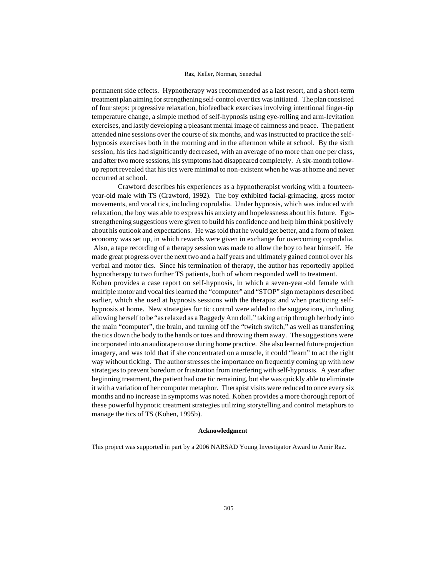permanent side effects. Hypnotherapy was recommended as a last resort, and a short-term treatment plan aiming for strengthening self-control over tics was initiated. The plan consisted of four steps: progressive relaxation, biofeedback exercises involving intentional finger-tip temperature change, a simple method of self-hypnosis using eye-rolling and arm-levitation exercises, and lastly developing a pleasant mental image of calmness and peace. The patient attended nine sessions over the course of six months, and was instructed to practice the selfhypnosis exercises both in the morning and in the afternoon while at school. By the sixth session, his tics had significantly decreased, with an average of no more than one per class, and after two more sessions, his symptoms had disappeared completely. A six-month followup report revealed that his tics were minimal to non-existent when he was at home and never occurred at school.

Crawford describes his experiences as a hypnotherapist working with a fourteenyear-old male with TS (Crawford, 1992). The boy exhibited facial-grimacing, gross motor movements, and vocal tics, including coprolalia. Under hypnosis, which was induced with relaxation, the boy was able to express his anxiety and hopelessness about his future. Egostrengthening suggestions were given to build his confidence and help him think positively about his outlook and expectations. He was told that he would get better, and a form of token economy was set up, in which rewards were given in exchange for overcoming coprolalia. Also, a tape recording of a therapy session was made to allow the boy to hear himself. He made great progress over the next two and a half years and ultimately gained control over his verbal and motor tics. Since his termination of therapy, the author has reportedly applied hypnotherapy to two further TS patients, both of whom responded well to treatment. Kohen provides a case report on self-hypnosis, in which a seven-year-old female with multiple motor and vocal tics learned the "computer" and "STOP" sign metaphors described earlier, which she used at hypnosis sessions with the therapist and when practicing selfhypnosis at home. New strategies for tic control were added to the suggestions, including

allowing herself to be "as relaxed as a Raggedy Ann doll," taking a trip through her body into the main "computer", the brain, and turning off the "twitch switch," as well as transferring the tics down the body to the hands or toes and throwing them away. The suggestions were incorporated into an audiotape to use during home practice. She also learned future projection imagery, and was told that if she concentrated on a muscle, it could "learn" to act the right way without ticking. The author stresses the importance on frequently coming up with new strategies to prevent boredom or frustration from interfering with self-hypnosis. A year after beginning treatment, the patient had one tic remaining, but she was quickly able to eliminate it with a variation of her computer metaphor. Therapist visits were reduced to once every six months and no increase in symptoms was noted. Kohen provides a more thorough report of these powerful hypnotic treatment strategies utilizing storytelling and control metaphors to manage the tics of TS (Kohen, 1995b).

## **Acknowledgment**

This project was supported in part by a 2006 NARSAD Young Investigator Award to Amir Raz.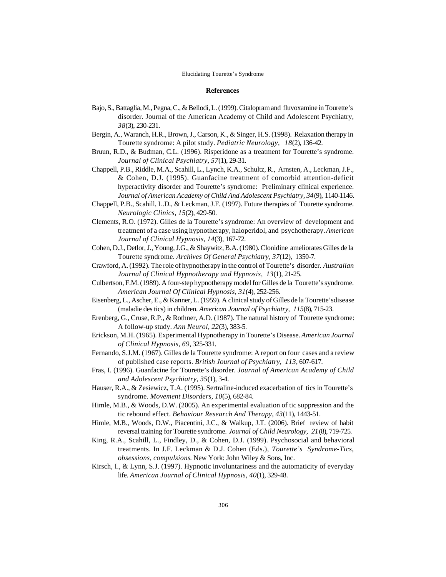## **References**

- Bajo, S., Battaglia, M., Pegna, C., & Bellodi, L. (1999). Citalopram and fluvoxamine in Tourette's disorder. Journal of the American Academy of Child and Adolescent Psychiatry, *38*(3), 230-231.
- Bergin, A., Waranch, H.R., Brown, J., Carson, K., & Singer, H.S. (1998). Relaxation therapy in Tourette syndrome: A pilot study. *Pediatric Neurology*, *18*(2), 136-42.
- Bruun, R.D., & Budman, C.L. (1996). Risperidone as a treatment for Tourette's syndrome. *Journal of Clinical Psychiatry, 57*(1), 29-31.
- Chappell, P.B., Riddle, M.A., Scahill, L., Lynch, K.A., Schultz, R., Arnsten, A., Leckman, J.F., & Cohen, D.J. (1995). Guanfacine treatment of comorbid attention-deficit hyperactivity disorder and Tourette's syndrome: Preliminary clinical experience. *Journal of American Academy of Child And Adolescent Psychiatry, 34*(9), 1140-1146.
- Chappell, P.B., Scahill, L.D., & Leckman, J.F. (1997). Future therapies of Tourette syndrome. *Neurologic Clinics, 15*(2), 429-50.
- Clements, R.O. (1972). Gilles de la Tourette's syndrome: An overview of development and treatment of a case using hypnotherapy, haloperidol, and psychotherapy. *American Journal of Clinical Hypnosis, 14*(3), 167-72.
- Cohen, D.J., Detlor, J., Young, J.G., & Shaywitz, B.A. (1980). Clonidine ameliorates Gilles de la Tourette syndrome. *Archives Of General Psychiatry, 37*(12), 1350-7.
- Crawford, A. (1992). The role of hypnotherapy in the control of Tourette's disorder. *Australian Journal of Clinical Hypnotherapy and Hypnosis, 13*(1), 21-25.
- Culbertson, F.M. (1989). A four-step hypnotherapy model for Gilles de la Tourette's syndrome. *American Journal Of Clinical Hypnosis, 31*(4), 252-256.
- Eisenberg, L., Ascher, E., & Kanner, L. (1959). A clinical study of Gilles de la Tourette's disease (maladie des tics) in children. *American Journal of Psychiatry, 115*(8), 715-23.
- Erenberg, G., Cruse, R.P., & Rothner, A.D. (1987). The natural history of Tourette syndrome: A follow-up study. *Ann Neurol, 22*(3), 383-5.
- Erickson, M.H. (1965). Experimental Hypnotherapy in Tourette's Disease. *American Journal of Clinical Hypnosis, 69*, 325-331.
- Fernando, S.J.M. (1967). Gilles de la Tourette syndrome: A report on four cases and a review of published case reports. *British Journal of Psychiatry, 113*, 607-617.
- Fras, I. (1996). Guanfacine for Tourette's disorder. *Journal of American Academy of Child and Adolescent Psychiatry, 35*(1), 3-4.
- Hauser, R.A., & Zesiewicz, T.A. (1995). Sertraline-induced exacerbation of tics in Tourette's syndrome. *Movement Disorders, 10*(5), 682-84.
- Himle, M.B., & Woods, D.W. (2005). An experimental evaluation of tic suppression and the tic rebound effect. *Behaviour Research And Therapy, 43*(11), 1443-51.
- Himle, M.B., Woods, D.W., Piacentini, J.C., & Walkup, J.T. (2006). Brief review of habit reversal training for Tourette syndrome. *Journal of Child Neurology, 21*(8), 719-725.
- King, R.A., Scahill, L., Findley, D., & Cohen, D.J. (1999). Psychosocial and behavioral treatments. In J.F. Leckman & D.J. Cohen (Eds.), *Tourette's Syndrome-Tics, obsessions, compulsions*. New York: John Wiley & Sons, Inc.
- Kirsch, I., & Lynn, S.J. (1997). Hypnotic involuntariness and the automaticity of everyday life. *American Journal of Clinical Hypnosis, 40*(1), 329-48.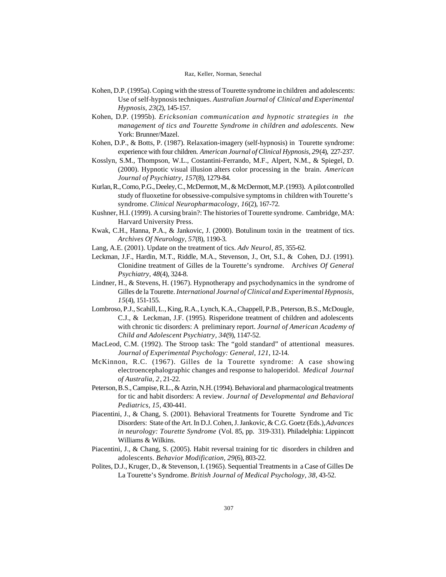- Kohen, D.P. (1995a). Coping with the stress of Tourette syndrome in children and adolescents: Use of self-hypnosis techniques. *Australian Journal of Clinical and Experimental Hypnosis, 23*(2), 145-157.
- Kohen, D.P. (1995b). *Ericksonian communication and hypnotic strategies in the management of tics and Tourette Syndrome in children and adolescents.* New York: Brunner/Mazel.
- Kohen, D.P., & Botts, P. (1987). Relaxation-imagery (self-hypnosis) in Tourette syndrome: experience with four children. *American Journal of Clinical Hypnosis, 29*(4), 227-237.
- Kosslyn, S.M., Thompson, W.L., Costantini-Ferrando, M.F., Alpert, N.M., & Spiegel, D. (2000). Hypnotic visual illusion alters color processing in the brain. *American Journal of Psychiatry, 157*(8), 1279-84.
- Kurlan, R., Como, P.G., Deeley, C., McDermott, M., & McDermott, M.P. (1993). A pilot controlled study of fluoxetine for obsessive-compulsive symptoms in children with Tourette's syndrome. *Clinical Neuropharmacology, 16*(2), 167-72.
- Kushner, H.I. (1999). A cursing brain?: The histories of Tourette syndrome. Cambridge, MA: Harvard University Press.
- Kwak, C.H., Hanna, P.A., & Jankovic, J. (2000). Botulinum toxin in the treatment of tics. *Archives Of Neurology, 57*(8), 1190-3.
- Lang, A.E. (2001). Update on the treatment of tics. *Adv Neurol, 85*, 355-62.
- Leckman, J.F., Hardin, M.T., Riddle, M.A., Stevenson, J., Ort, S.I., & Cohen, D.J. (1991). Clonidine treatment of Gilles de la Tourette's syndrome. A*rchives Of General Psychiatry, 48*(4), 324-8.
- Lindner, H., & Stevens, H. (1967). Hypnotherapy and psychodynamics in the syndrome of Gilles de la Tourette. *International Journal of Clinical and Experimental Hypnosis, 15*(4), 151-155.
- Lombroso, P.J., Scahill, L., King, R.A., Lynch, K.A., Chappell, P.B., Peterson, B.S., McDougle, C.J., & Leckman, J.F. (1995). Risperidone treatment of children and adolescents with chronic tic disorders: A preliminary report. *Journal of American Academy of Child and Adolescent Psychiatry, 34*(9), 1147-52.
- MacLeod, C.M. (1992). The Stroop task: The "gold standard" of attentional measures. *Journal of Experimental Psychology: General, 121*, 12-14.
- McKinnon, R.C. (1967). Gilles de la Tourette syndrome: A case showing electroencephalographic changes and response to haloperidol. *Medical Journal of Australia, 2*, 21-22.
- Peterson, B.S., Campise, R.L., & Azrin, N.H. (1994). Behavioral and pharmacological treatments for tic and habit disorders: A review. *Journal of Developmental and Behavioral Pediatrics, 15*, 430-441.
- Piacentini, J., & Chang, S. (2001). Behavioral Treatments for Tourette Syndrome and Tic Disorders: State of the Art. In D.J. Cohen, J. Jankovic, & C.G. Goetz (Eds.), *Advances in neurology: Tourette Syndrome* (Vol. 85, pp. 319-331). Philadelphia: Lippincott Williams & Wilkins.
- Piacentini, J., & Chang, S. (2005). Habit reversal training for tic disorders in children and adolescents. *Behavior Modification, 29*(6), 803-22.
- Polites, D.J., Kruger, D., & Stevenson, I. (1965). Sequential Treatments in a Case of Gilles De La Tourette's Syndrome. *British Journal of Medical Psychology, 38*, 43-52.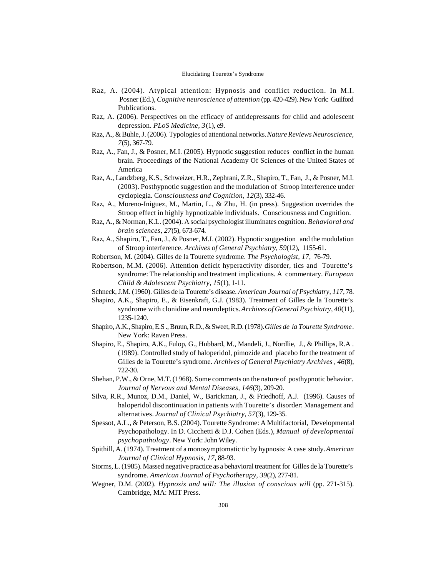- Raz, A. (2004). Atypical attention: Hypnosis and conflict reduction. In M.I. Posner (Ed.), *Cognitive neuroscience of attention* (pp. 420-429). New York: Guilford Publications.
- Raz, A. (2006). Perspectives on the efficacy of antidepressants for child and adolescent depression. *PLoS Medicine, 3*(1), e9.
- Raz, A., & Buhle, J. (2006). Typologies of attentional networks. *Nature Reviews Neuroscience, 7*(5), 367-79.
- Raz, A., Fan, J., & Posner, M.I. (2005). Hypnotic suggestion reduces conflict in the human brain. Proceedings of the National Academy Of Sciences of the United States of America
- Raz, A., Landzberg, K.S., Schweizer, H.R., Zephrani, Z.R., Shapiro, T., Fan, J., & Posner, M.I. (2003). Posthypnotic suggestion and the modulation of Stroop interference under cycloplegia. C*onsciousness and Cognition, 12*(3), 332-46.
- Raz, A., Moreno-Iniguez, M., Martin, L., & Zhu, H. (in press). Suggestion overrides the Stroop effect in highly hypnotizable individuals. Consciousness and Cognition.
- Raz, A., & Norman, K.L. (2004). A social psychologist illuminates cognition. *Behavioral and brain sciences, 27*(5), 673-674.
- Raz, A., Shapiro, T., Fan, J., & Posner, M.I. (2002). Hypnotic suggestion and the modulation of Stroop interference. *Archives of General Psychiatry, 59*(12), 1155-61.
- Robertson, M. (2004). Gilles de la Tourette syndrome. *The Psychologist, 17*, 76-79.
- Robertson, M.M. (2006). Attention deficit hyperactivity disorder, tics and Tourette's syndrome: The relationship and treatment implications. A commentary. *European Child & Adolescent Psychiatry, 15*(1), 1-11.
- Schneck, J.M. (1960). Gilles de la Tourette's disease. *American Journal of Psychiatry, 117*, 78.
- Shapiro, A.K., Shapiro, E., & Eisenkraft, G.J. (1983). Treatment of Gilles de la Tourette's syndrome with clonidine and neuroleptics. *Archives of General Psychiatry, 40*(11), 1235-1240.
- Shapiro, A.K., Shapiro, E.S ., Bruun, R.D., & Sweet, R.D. (1978). *Gilles de la Tourette Syndrome*. New York: Raven Press.
- Shapiro, E., Shapiro, A.K., Fulop, G., Hubbard, M., Mandeli, J., Nordlie, J., & Phillips, R.A . (1989). Controlled study of haloperidol, pimozide and placebo for the treatment of Gilles de la Tourette's syndrome. *Archives of General Psychiatry Archives , 46*(8), 722-30.
- Shehan, P.W., & Orne, M.T. (1968). Some comments on the nature of posthypnotic behavior. *Journal of Nervous and Mental Diseases, 146*(3), 209-20.
- Silva, R.R., Munoz, D.M., Daniel, W., Barickman, J., & Friedhoff, A.J. (1996). Causes of haloperidol discontinuation in patients with Tourette's disorder: Management and alternatives. *Journal of Clinical Psychiatry, 57*(3), 129-35.
- Spessot, A.L., & Peterson, B.S. (2004). Tourette Syndrome: A Multifactorial, Developmental Psychopathology. In D. Cicchetti & D.J. Cohen (Eds.), *Manual of developmental psychopathology*. New York: John Wiley.
- Spithill, A. (1974). Treatment of a monosymptomatic tic by hypnosis: A case study. *American Journal of Clinical Hypnosis, 17*, 88-93.
- Storms, L. (1985). Massed negative practice as a behavioral treatment for Gilles de la Tourette's syndrome. *American Journal of Psychotherapy, 39*(2), 277-81.
- Wegner, D.M. (2002). *Hypnosis and will: The illusion of conscious will* (pp. 271-315). Cambridge, MA: MIT Press.